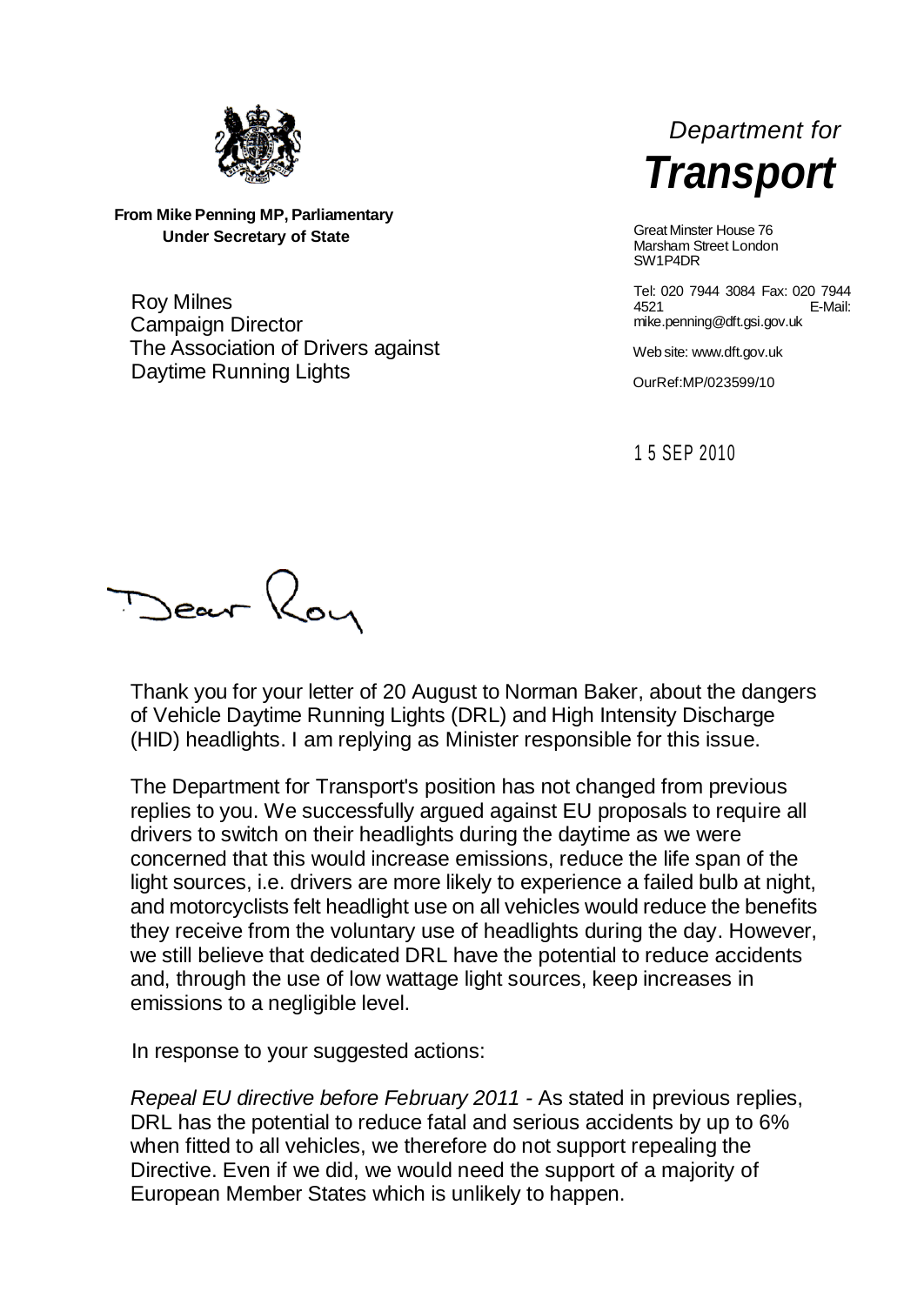

**From Mike Penning MP, Parliamentary Under Secretary of State**

Roy Milnes Campaign Director The Association of Drivers against Daytime Running Lights



Great Minster House 76 Marsham Street London SW1P4DR

Tel: 020 7944 3084 Fax: 020 7944 4521 E-Mail: mike.penning@dft.gsi.gov.uk

Web site: www.dft.gov.uk

OurRef:MP/023599/10

1 5 SEP 2010

Dear Roy

Thank you for your letter of 20 August to Norman Baker, about the dangers of Vehicle Daytime Running Lights (DRL) and High Intensity Discharge (HID) headlights. I am replying as Minister responsible for this issue.

The Department for Transport's position has not changed from previous replies to you. We successfully argued against EU proposals to require all drivers to switch on their headlights during the daytime as we were concerned that this would increase emissions, reduce the life span of the light sources, i.e. drivers are more likely to experience a failed bulb at night, and motorcyclists felt headlight use on all vehicles would reduce the benefits they receive from the voluntary use of headlights during the day. However, we still believe that dedicated DRL have the potential to reduce accidents and, through the use of low wattage light sources, keep increases in emissions to a negligible level.

In response to your suggested actions:

*Repeal EU directive before February 2011 -* As stated in previous replies, DRL has the potential to reduce fatal and serious accidents by up to 6% when fitted to all vehicles, we therefore do not support repealing the Directive. Even if we did, we would need the support of a majority of European Member States which is unlikely to happen.